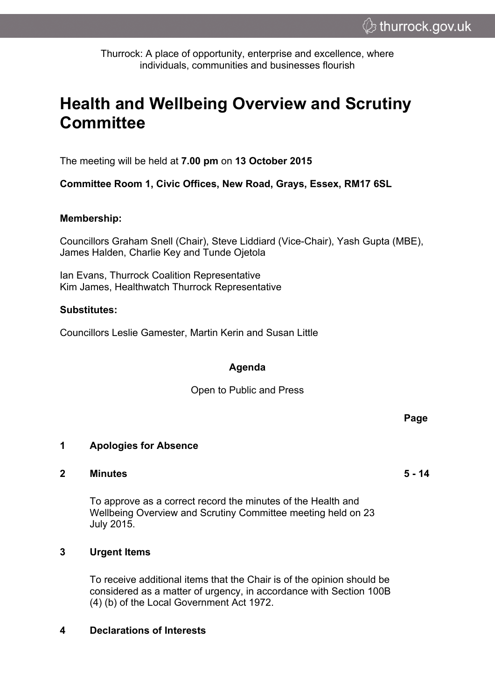Thurrock: A place of opportunity, enterprise and excellence, where individuals, communities and businesses flourish

# **Health and Wellbeing Overview and Scrutiny Committee**

The meeting will be held at **7.00 pm** on **13 October 2015**

**Committee Room 1, Civic Offices, New Road, Grays, Essex, RM17 6SL**

#### **Membership:**

Councillors Graham Snell (Chair), Steve Liddiard (Vice-Chair), Yash Gupta (MBE), James Halden, Charlie Key and Tunde Ojetola

Ian Evans, Thurrock Coalition Representative Kim James, Healthwatch Thurrock Representative

#### **Substitutes:**

Councillors Leslie Gamester, Martin Kerin and Susan Little

### **Agenda**

Open to Public and Press

#### **1 Apologies for Absence**

#### **2 Minutes 5 - 14**

To approve as a correct record the minutes of the Health and Wellbeing Overview and Scrutiny Committee meeting held on 23 July 2015.

#### **3 Urgent Items**

To receive additional items that the Chair is of the opinion should be considered as a matter of urgency, in accordance with Section 100B (4) (b) of the Local Government Act 1972.

#### **4 Declarations of Interests**

**Page**